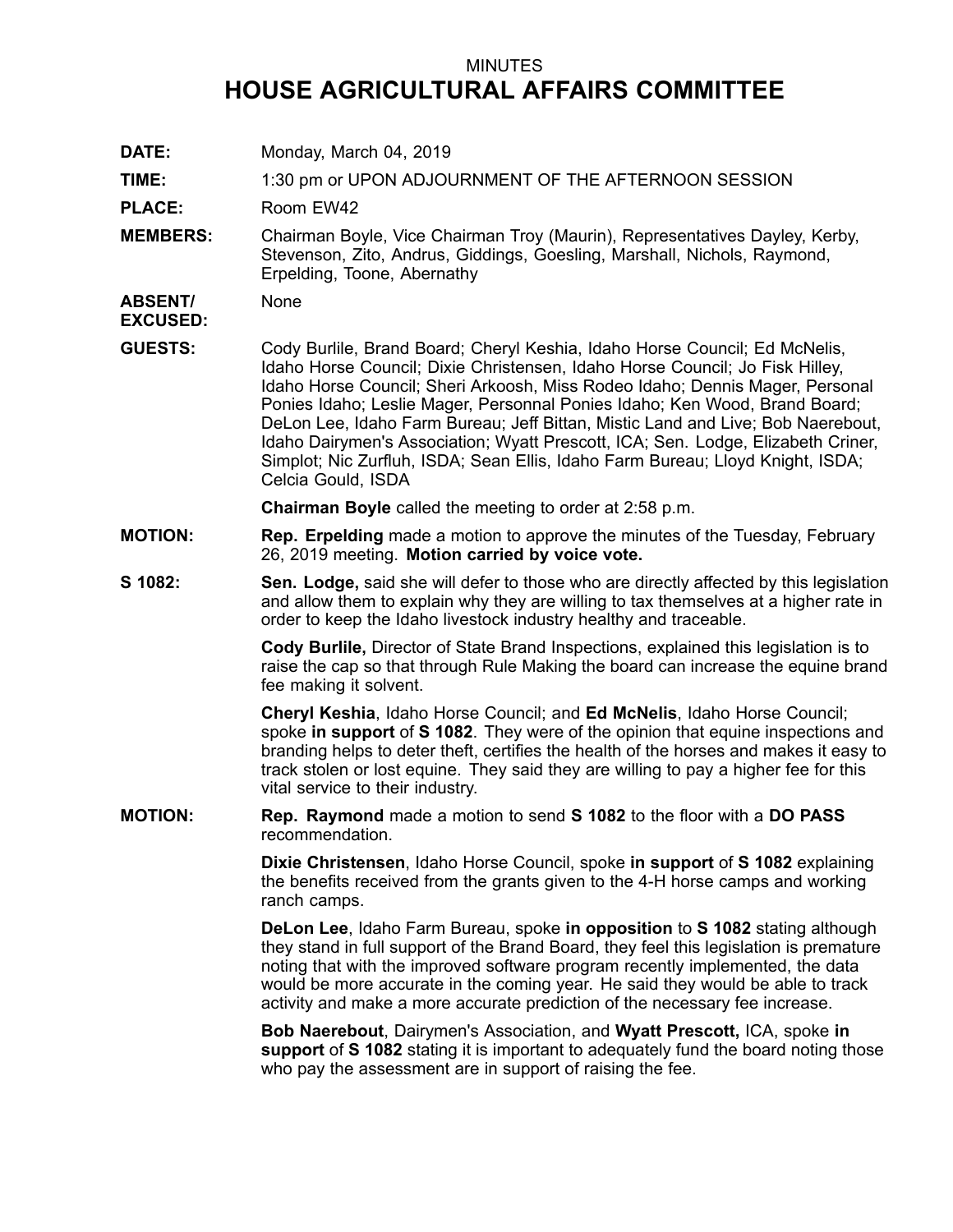## MINUTES **HOUSE AGRICULTURAL AFFAIRS COMMITTEE**

**DATE:** Monday, March 04, 2019

**TIME:** 1:30 pm or UPON ADJOURNMENT OF THE AFTERNOON SESSION

PLACE: Room EW42

**MEMBERS:** Chairman Boyle, Vice Chairman Troy (Maurin), Representatives Dayley, Kerby, Stevenson, Zito, Andrus, Giddings, Goesling, Marshall, Nichols, Raymond, Erpelding, Toone, Abernathy

**ABSENT/ EXCUSED:** None

**GUESTS:** Cody Burlile, Brand Board; Cheryl Keshia, Idaho Horse Council; Ed McNelis, Idaho Horse Council; Dixie Christensen, Idaho Horse Council; Jo Fisk Hilley, Idaho Horse Council; Sheri Arkoosh, Miss Rodeo Idaho; Dennis Mager, Personal Ponies Idaho; Leslie Mager, Personnal Ponies Idaho; Ken Wood, Brand Board; DeLon Lee, Idaho Farm Bureau; Jeff Bittan, Mistic Land and Live; Bob Naerebout, Idaho Dairymen's Association; Wyatt Prescott, ICA; Sen. Lodge, Elizabeth Criner, Simplot; Nic Zurfluh, ISDA; Sean Ellis, Idaho Farm Bureau; Lloyd Knight, ISDA; Celcia Gould, ISDA

**Chairman Boyle** called the meeting to order at 2:58 p.m.

- **MOTION: Rep. Erpelding** made <sup>a</sup> motion to approve the minutes of the Tuesday, February 26, 2019 meeting. **Motion carried by voice vote.**
- **S 1082: Sen. Lodge,** said she will defer to those who are directly affected by this legislation and allow them to explain why they are willing to tax themselves at <sup>a</sup> higher rate in order to keep the Idaho livestock industry healthy and traceable.

**Cody Burlile,** Director of State Brand Inspections, explained this legislation is to raise the cap so that through Rule Making the board can increase the equine brand fee making it solvent.

**Cheryl Keshia**, Idaho Horse Council; and **Ed McNelis**, Idaho Horse Council; spoke **in support** of **S 1082**. They were of the opinion that equine inspections and branding helps to deter theft, certifies the health of the horses and makes it easy to track stolen or lost equine. They said they are willing to pay <sup>a</sup> higher fee for this vital service to their industry.

**MOTION: Rep. Raymond** made <sup>a</sup> motion to send **S 1082** to the floor with <sup>a</sup> **DO PASS** recommendation.

> **Dixie Christensen**, Idaho Horse Council, spoke **in support** of **S 1082** explaining the benefits received from the grants given to the 4-H horse camps and working ranch camps.

**DeLon Lee**, Idaho Farm Bureau, spoke **in opposition** to **S 1082** stating although they stand in full support of the Brand Board, they feel this legislation is premature noting that with the improved software program recently implemented, the data would be more accurate in the coming year. He said they would be able to track activity and make <sup>a</sup> more accurate prediction of the necessary fee increase.

**Bob Naerebout**, Dairymen's Association, and **Wyatt Prescott,** ICA, spoke **in support** of **S 1082** stating it is important to adequately fund the board noting those who pay the assessment are in support of raising the fee.